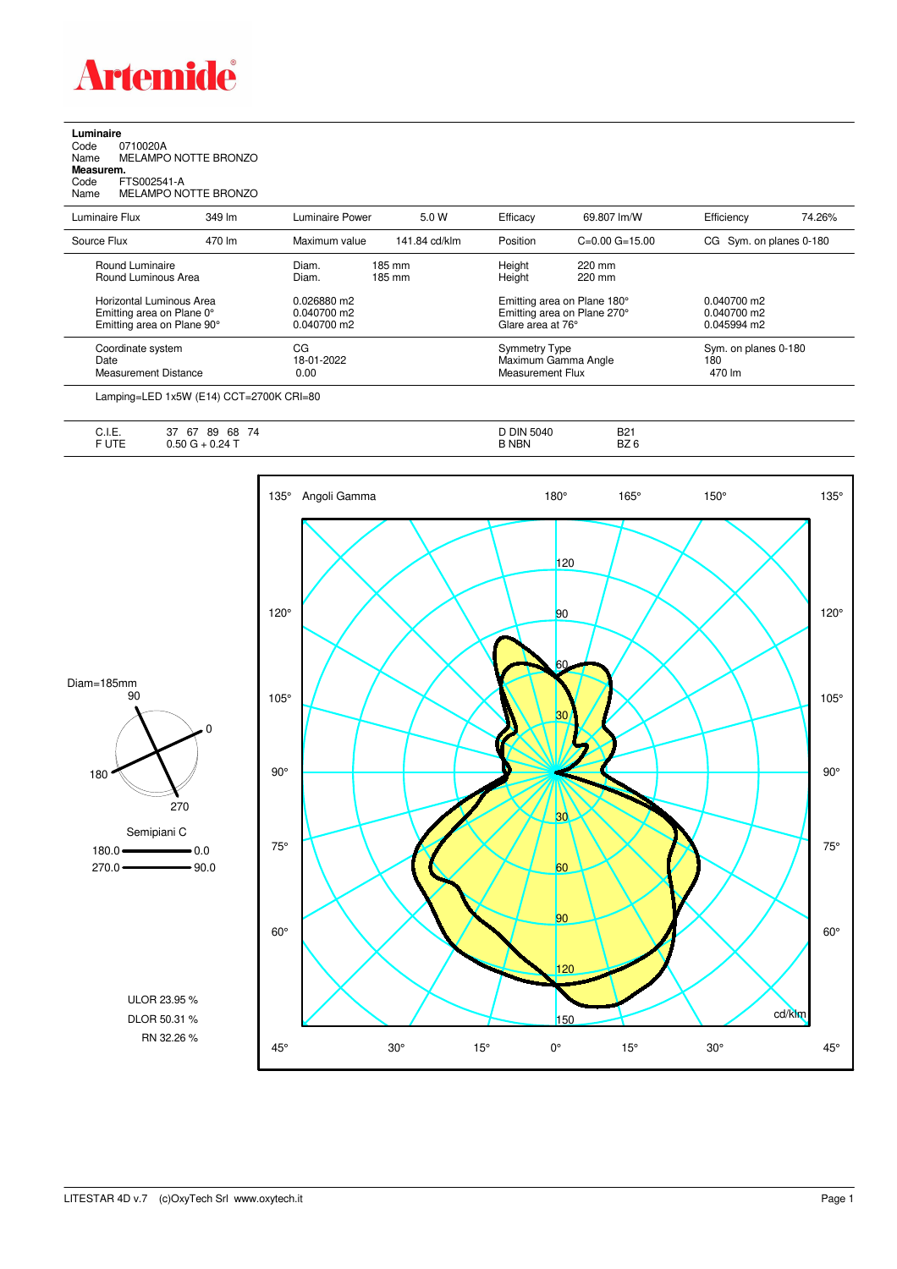

## **Luminaire**

Code 0710020A Name MELAMPO NOTTE BRONZO **Measurem.** Name<br>**Measurem.**<br>Code FTS002541-A<br>Name MELAMPO NC

MELAMPO NOTTE BRONZO

| Luminaire Flux                                                                      | 349 lm | Luminaire Power                               | 5.0 W            | Efficacy                                                                        | 69.807 lm/W        | Efficiency                                    | 74.26% |
|-------------------------------------------------------------------------------------|--------|-----------------------------------------------|------------------|---------------------------------------------------------------------------------|--------------------|-----------------------------------------------|--------|
| Source Flux                                                                         | 470 lm | Maximum value                                 | 141.84 cd/klm    | Position                                                                        | $C=0.00$ $G=15.00$ | CG Sym. on planes 0-180                       |        |
| Round Luminaire<br>Round Luminous Area                                              |        | Diam.<br>Diam.                                | 185 mm<br>185 mm | Height<br>Height                                                                | 220 mm<br>220 mm   |                                               |        |
| Horizontal Luminous Area<br>Emitting area on Plane 0°<br>Emitting area on Plane 90° |        | 0.026880 m2<br>$0.040700$ m2<br>$0.040700$ m2 |                  | Emitting area on Plane 180°<br>Emitting area on Plane 270°<br>Glare area at 76° |                    | $0.040700$ m2<br>$0.040700$ m2<br>0.045994 m2 |        |
| Coordinate system<br>Date<br>Measurement Distance                                   |        | CG<br>18-01-2022<br>0.00                      |                  | <b>Symmetry Type</b><br>Maximum Gamma Angle<br>Measurement Flux                 |                    | Sym. on planes 0-180<br>180<br>470 lm         |        |
|                                                                                     |        |                                               |                  |                                                                                 |                    |                                               |        |

Lamping=LED 1x5W (E14) CCT=2700K CRI=80

| ◡……       | ~-<br>$\rightarrow$<br>$\sim$<br>68<br>89<br>74<br>07<br>، ب | ۲ DIN ر<br>5040 | <b>B21</b>         |
|-----------|--------------------------------------------------------------|-----------------|--------------------|
| $-$<br>◡喉 | 24T<br>ม.5น<br>. .<br>◡.∟                                    | <b>B NBN</b>    | -- -<br>DZC<br>BZ. |